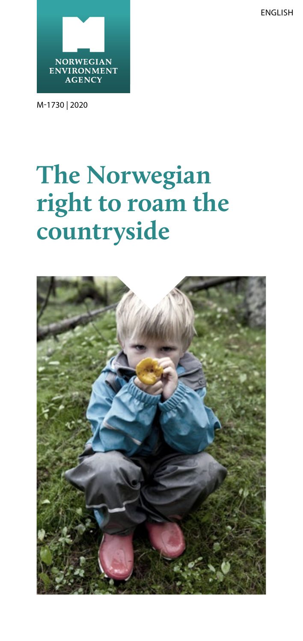ENGLISH



M-1730 | 2020

# **The Norwegian right to roam the countryside**

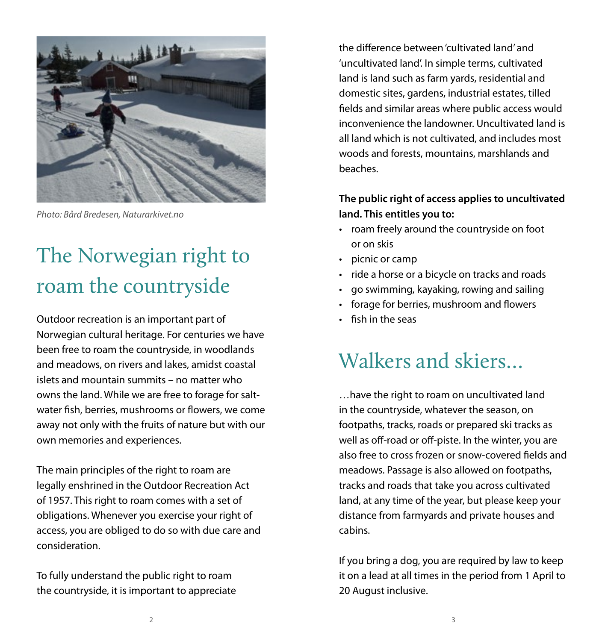

*Photo: Bård Bredesen, Naturarkivet.no*

## The Norwegian right to roam the countryside

Outdoor recreation is an important part of Norwegian cultural heritage. For centuries we have been free to roam the countryside, in woodlands and meadows, on rivers and lakes, amidst coastal islets and mountain summits – no matter who owns the land. While we are free to forage for saltwater fish, berries, mushrooms or flowers, we come away not only with the fruits of nature but with our own memories and experiences.

The main principles of the right to roam are legally enshrined in the Outdoor Recreation Act of 1957. This right to roam comes with a set of obligations. Whenever you exercise your right of access, you are obliged to do so with due care and consideration.

To fully understand the public right to roam the countryside, it is important to appreciate the difference between 'cultivated land' and 'uncultivated land'. In simple terms, cultivated land is land such as farm yards, residential and domestic sites, gardens, industrial estates, tilled fields and similar areas where public access would inconvenience the landowner. Uncultivated land is all land which is not cultivated, and includes most woods and forests, mountains, marshlands and beaches.

#### **The public right of access applies to uncultivated land. This entitles you to:**

- roam freely around the countryside on foot or on skis
- picnic or camp
- ride a horse or a bicycle on tracks and roads
- go swimming, kayaking, rowing and sailing
- forage for berries, mushroom and flowers
- fish in the seas

### Walkers and skiers

…have the right to roam on uncultivated land in the countryside, whatever the season, on footpaths, tracks, roads or prepared ski tracks as well as off-road or off-piste. In the winter, you are also free to cross frozen or snow-covered fields and meadows. Passage is also allowed on footpaths, tracks and roads that take you across cultivated land, at any time of the year, but please keep your distance from farmyards and private houses and cabins.

If you bring a dog, you are required by law to keep it on a lead at all times in the period from 1 April to 20 August inclusive.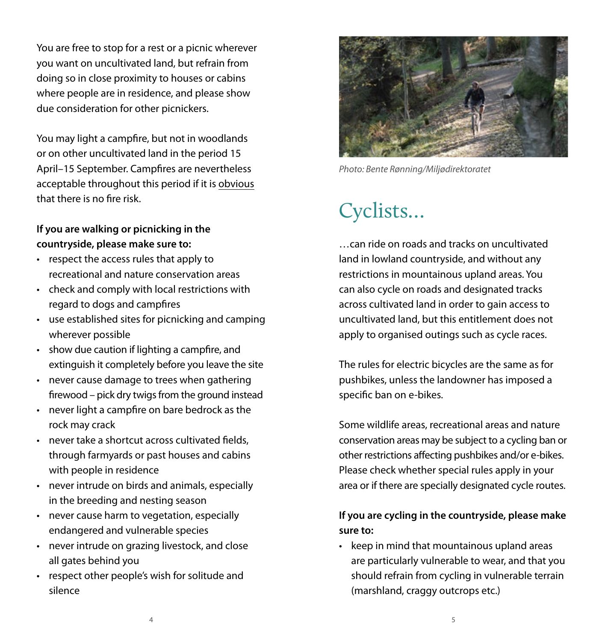You are free to stop for a rest or a picnic wherever you want on uncultivated land, but refrain from doing so in close proximity to houses or cabins where people are in residence, and please show due consideration for other picnickers.

You may light a campfire, but not in woodlands or on other uncultivated land in the period 15 April–15 September. Campfires are nevertheless acceptable throughout this period if it is obvious that there is no fire risk.

#### **If you are walking or picnicking in the countryside, please make sure to:**

- respect the access rules that apply to recreational and nature conservation areas
- check and comply with local restrictions with regard to dogs and campfires
- use established sites for picnicking and camping wherever possible
- show due caution if lighting a campfire, and extinguish it completely before you leave the site
- never cause damage to trees when gathering firewood – pick dry twigs from the ground instead
- never light a campfire on bare bedrock as the rock may crack
- never take a shortcut across cultivated fields, through farmyards or past houses and cabins with people in residence
- never intrude on birds and animals, especially in the breeding and nesting season
- never cause harm to vegetation, especially endangered and vulnerable species
- never intrude on grazing livestock, and close all gates behind you
- respect other people's wish for solitude and silence



*Photo: Bente Rønning/Miljødirektoratet*

## Cyclists…

…can ride on roads and tracks on uncultivated land in lowland countryside, and without any restrictions in mountainous upland areas. You can also cycle on roads and designated tracks across cultivated land in order to gain access to uncultivated land, but this entitlement does not apply to organised outings such as cycle races.

The rules for electric bicycles are the same as for pushbikes, unless the landowner has imposed a specific ban on e-bikes.

Some wildlife areas, recreational areas and nature conservation areas may be subject to a cycling ban or other restrictions affecting pushbikes and/or e-bikes. Please check whether special rules apply in your area or if there are specially designated cycle routes.

### **If you are cycling in the countryside, please make sure to:**

• keep in mind that mountainous upland areas are particularly vulnerable to wear, and that you should refrain from cycling in vulnerable terrain (marshland, craggy outcrops etc.)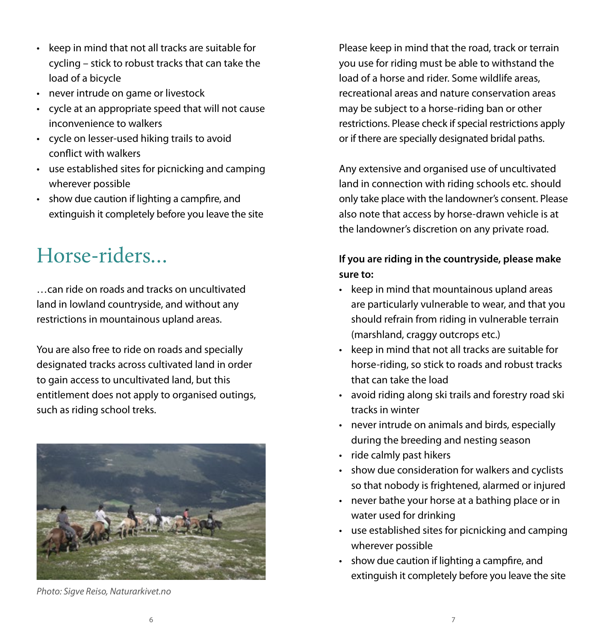- keep in mind that not all tracks are suitable for cycling – stick to robust tracks that can take the load of a bicycle
- never intrude on game or livestock
- cycle at an appropriate speed that will not cause inconvenience to walkers
- cycle on lesser-used hiking trails to avoid conflict with walkers
- use established sites for picnicking and camping wherever possible
- show due caution if lighting a campfire, and extinguish it completely before you leave the site

### Horse-riders…

…can ride on roads and tracks on uncultivated land in lowland countryside, and without any restrictions in mountainous upland areas.

You are also free to ride on roads and specially designated tracks across cultivated land in order to gain access to uncultivated land, but this entitlement does not apply to organised outings, such as riding school treks.



*Photo: Sigve Reiso, Naturarkivet.no*

Please keep in mind that the road, track or terrain you use for riding must be able to withstand the load of a horse and rider. Some wildlife areas, recreational areas and nature conservation areas may be subject to a horse-riding ban or other restrictions. Please check if special restrictions apply or if there are specially designated bridal paths.

Any extensive and organised use of uncultivated land in connection with riding schools etc. should only take place with the landowner's consent. Please also note that access by horse-drawn vehicle is at the landowner's discretion on any private road.

### **If you are riding in the countryside, please make sure to:**

- keep in mind that mountainous upland areas are particularly vulnerable to wear, and that you should refrain from riding in vulnerable terrain (marshland, craggy outcrops etc.)
- keep in mind that not all tracks are suitable for horse-riding, so stick to roads and robust tracks that can take the load
- avoid riding along ski trails and forestry road ski tracks in winter
- never intrude on animals and birds, especially during the breeding and nesting season
- ride calmly past hikers
- show due consideration for walkers and cyclists so that nobody is frightened, alarmed or injured
- never bathe your horse at a bathing place or in water used for drinking
- use established sites for picnicking and camping wherever possible
- show due caution if lighting a campfire, and extinguish it completely before you leave the site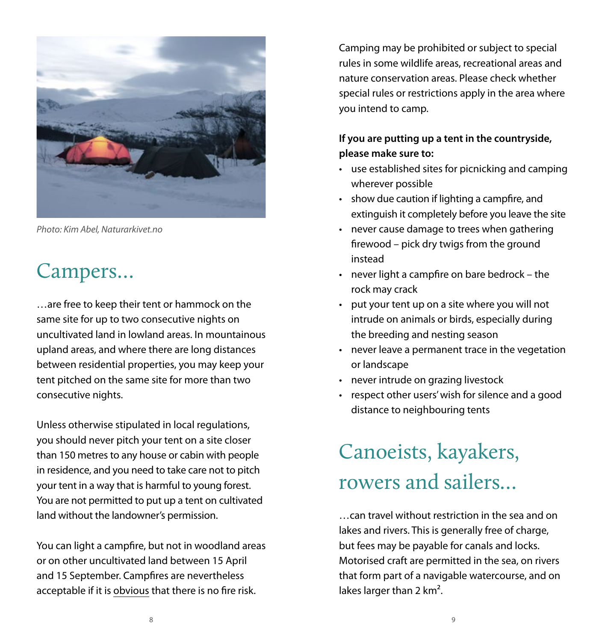

*Photo: Kim Abel, Naturarkivet.no*

### Campers…

…are free to keep their tent or hammock on the same site for up to two consecutive nights on uncultivated land in lowland areas. In mountainous upland areas, and where there are long distances between residential properties, you may keep your tent pitched on the same site for more than two consecutive nights.

Unless otherwise stipulated in local regulations, you should never pitch your tent on a site closer than 150 metres to any house or cabin with people in residence, and you need to take care not to pitch your tent in a way that is harmful to young forest. You are not permitted to put up a tent on cultivated land without the landowner's permission.

You can light a campfire, but not in woodland areas or on other uncultivated land between 15 April and 15 September. Campfires are nevertheless acceptable if it is obvious that there is no fire risk.

Camping may be prohibited or subject to special rules in some wildlife areas, recreational areas and nature conservation areas. Please check whether special rules or restrictions apply in the area where you intend to camp.

### **If you are putting up a tent in the countryside, please make sure to:**

- use established sites for picnicking and camping wherever possible
- show due caution if lighting a campfire, and extinguish it completely before you leave the site
- never cause damage to trees when gathering firewood – pick dry twigs from the ground instead
- never light a campfire on bare bedrock the rock may crack
- put your tent up on a site where you will not intrude on animals or birds, especially during the breeding and nesting season
- never leave a permanent trace in the vegetation or landscape
- never intrude on grazing livestock
- respect other users' wish for silence and a good distance to neighbouring tents

## Canoeists, kayakers, rowers and sailers…

…can travel without restriction in the sea and on lakes and rivers. This is generally free of charge, but fees may be payable for canals and locks. Motorised craft are permitted in the sea, on rivers that form part of a navigable watercourse, and on lakes larger than 2 km<sup>2</sup>.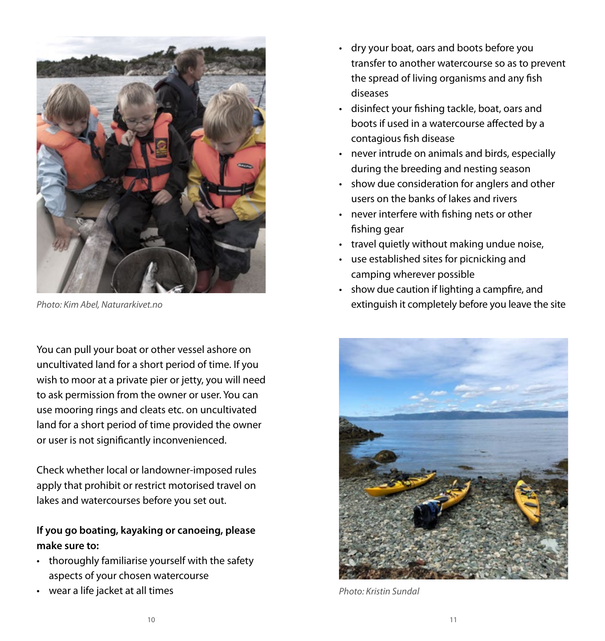

You can pull your boat or other vessel ashore on uncultivated land for a short period of time. If you wish to moor at a private pier or jetty, you will need to ask permission from the owner or user. You can use mooring rings and cleats etc. on uncultivated land for a short period of time provided the owner or user is not significantly inconvenienced.

Check whether local or landowner-imposed rules apply that prohibit or restrict motorised travel on lakes and watercourses before you set out.

#### **If you go boating, kayaking or canoeing, please make sure to:**

- thoroughly familiarise yourself with the safety aspects of your chosen watercourse
- wear a life jacket at all times
- dry your boat, oars and boots before you transfer to another watercourse so as to prevent the spread of living organisms and any fish diseases
- disinfect your fishing tackle, boat, oars and boots if used in a watercourse affected by a contagious fish disease
- never intrude on animals and birds, especially during the breeding and nesting season
- show due consideration for anglers and other users on the banks of lakes and rivers
- never interfere with fishing nets or other fishing gear
- travel quietly without making undue noise,
- use established sites for picnicking and camping wherever possible
- show due caution if lighting a campfire, and *Photo: Kim Abel, Naturarkivet.no* extinguish it completely before you leave the site



*Photo: Kristin Sundal*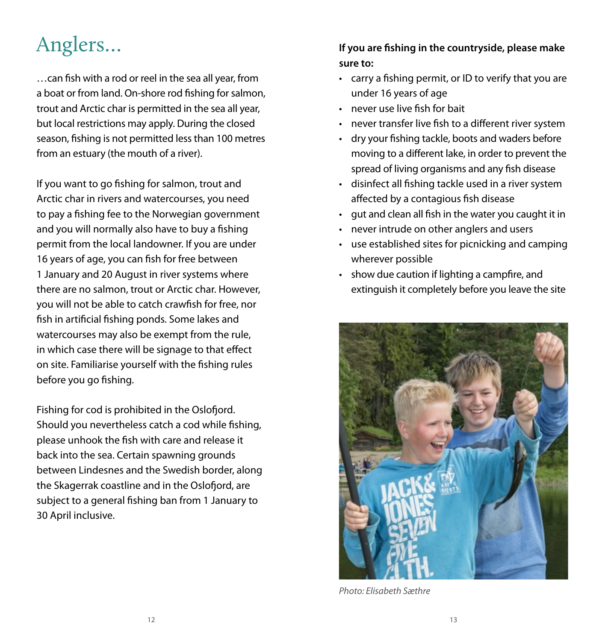## Anglers…

…can fish with a rod or reel in the sea all year, from a boat or from land. On-shore rod fishing for salmon, trout and Arctic char is permitted in the sea all year, but local restrictions may apply. During the closed season, fishing is not permitted less than 100 metres from an estuary (the mouth of a river).

If you want to go fishing for salmon, trout and Arctic char in rivers and watercourses, you need to pay a fishing fee to the Norwegian government and you will normally also have to buy a fishing permit from the local landowner. If you are under 16 years of age, you can fish for free between 1 January and 20 August in river systems where there are no salmon, trout or Arctic char. However, you will not be able to catch crawfish for free, nor fish in artificial fishing ponds. Some lakes and watercourses may also be exempt from the rule, in which case there will be signage to that effect on site. Familiarise yourself with the fishing rules before you go fishing.

Fishing for cod is prohibited in the Oslofjord. Should you nevertheless catch a cod while fishing, please unhook the fish with care and release it back into the sea. Certain spawning grounds between Lindesnes and the Swedish border, along the Skagerrak coastline and in the Oslofjord, are subject to a general fishing ban from 1 January to 30 April inclusive.

### **If you are fishing in the countryside, please make sure to:**

- carry a fishing permit, or ID to verify that you are under 16 years of age
- never use live fish for bait
- never transfer live fish to a different river system
- dry your fishing tackle, boots and waders before moving to a different lake, in order to prevent the spread of living organisms and any fish disease
- disinfect all fishing tackle used in a river system affected by a contagious fish disease
- gut and clean all fish in the water you caught it in
- never intrude on other anglers and users
- use established sites for picnicking and camping wherever possible
- show due caution if lighting a campfire, and extinguish it completely before you leave the site



*Photo: Elisabeth Sæthre*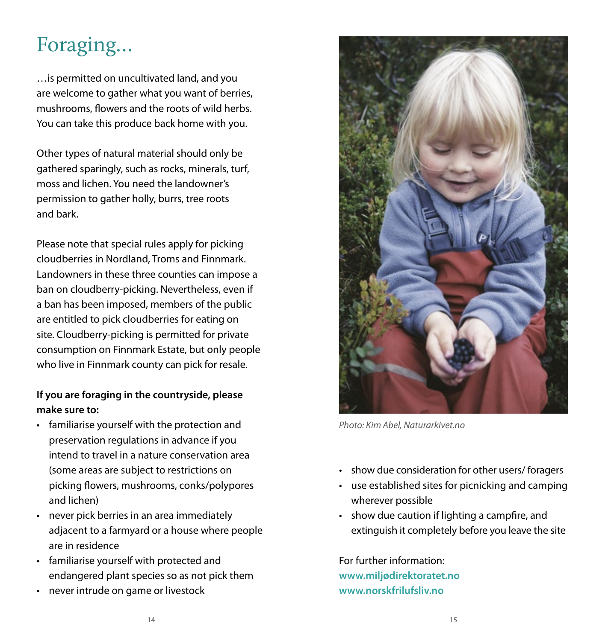### Foraging…

…is permitted on uncultivated land, and you are welcome to gather what you want of berries, mushrooms, flowers and the roots of wild herbs. You can take this produce back home with you.

Other types of natural material should only be gathered sparingly, such as rocks, minerals, turf, moss and lichen. You need the landowner's permission to gather holly, burrs, tree roots and bark.

Please note that special rules apply for picking cloudberries in Nordland, Troms and Finnmark. Landowners in these three counties can impose a ban on cloudberry-picking. Nevertheless, even if a ban has been imposed, members of the public are entitled to pick cloudberries for eating on site. Cloudberry-picking is permitted for private consumption on Finnmark Estate, but only people who live in Finnmark county can pick for resale.

#### **If you are foraging in the countryside, please make sure to:**

- familiarise yourself with the protection and preservation regulations in advance if you intend to travel in a nature conservation area (some areas are subject to restrictions on picking flowers, mushrooms, conks/polypores and lichen)
- never pick berries in an area immediately adjacent to a farmyard or a house where people are in residence
- familiarise yourself with protected and endangered plant species so as not pick them
- never intrude on game or livestock



*Photo: Kim Abel, Naturarkivet.no*

- show due consideration for other users/ foragers
- use established sites for picnicking and camping wherever possible
- show due caution if lighting a campfire, and extinguish it completely before you leave the site

For further information: **www.miljødirektoratet.no www.norskfrilufsliv.no**